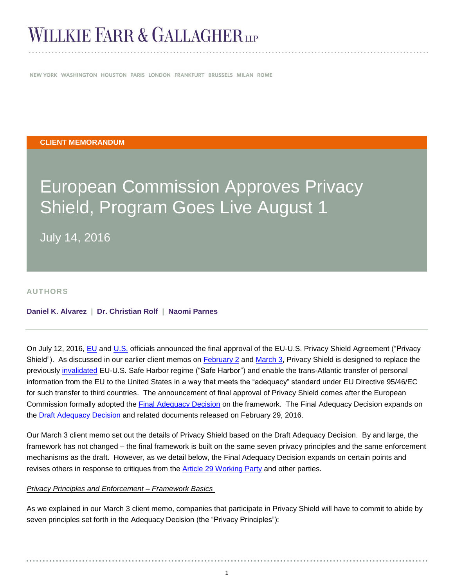# **WILLKIE FARR & GALLAGHERLP**

NEW YORK WASHINGTON HOUSTON PARIS LONDON FRANKFURT BRUSSELS MILAN ROME

#### **CLIENT MEMORANDUM**

# European Commission Approves Privacy Shield, Program Goes Live August 1

July 14, 2016

#### **AUTHORS**

#### **[Daniel K. Alvarez](http://www.willkie.com/professionals/a/alvarez-daniel) | [Dr. Christian Rolf](http://www.willkie.com/professionals/r/rolf-christian) | [Naomi Parnes](http://www.willkie.com/professionals/p/parnes-naomi)**

On July 12, 2016, [EU](http://europa.eu/rapid/press-release_IP-16-2461_en.htm) and [U.S.](https://www.commerce.gov/news/secretary-speeches/2016/07/remarks-us-secretary-commerce-penny-pritzker-eu-us-privacy-shield) officials announced the final approval of the EU-U.S. Privacy Shield Agreement ("Privacy Shield"). As discussed in our earlier client memos on [February 2](http://www.willkie.com/~/media/Files/Publications/2016/02/EU_US_Privacy_Shield_is_the_New_Safe_Harbor.pdf) and [March 3,](http://www.willkie.com/~/media/Files/Publications/2016/03/Privacy_Shield_Details_Unveiled.pdf) Privacy Shield is designed to replace the previously [invalidated](http://www.willkie.com/~/media/Files/Publications/2015/10/European_Court_of_Justice_Declares_EU_US_Safe_Harbor_Framework_Invalid.pdf) EU-U.S. Safe Harbor regime ("Safe Harbor") and enable the trans-Atlantic transfer of personal information from the EU to the United States in a way that meets the "adequacy" standard under EU Directive 95/46/EC for such transfer to third countries. The announcement of final approval of Privacy Shield comes after the European Commission formally adopted the [Final Adequacy Decision](http://ec.europa.eu/justice/data-protection/files/privacy-shield-adequacy-decision_en.pdf) on the framework. The Final Adequacy Decision expands on the **Draft Adequacy Decision** and related documents released on February 29, 2016.

Our March 3 client memo set out the details of Privacy Shield based on the Draft Adequacy Decision. By and large, the framework has not changed – the final framework is built on the same seven privacy principles and the same enforcement mechanisms as the draft. However, as we detail below, the Final Adequacy Decision expands on certain points and revises others in response to critiques from the **Article [29 Working Party](http://ec.europa.eu/justice/data-protection/article-29/documentation/opinion-recommendation/files/2016/wp238_en.pdf)** and other parties.

#### *Privacy Principles and Enforcement – Framework Basics*

As we explained in our March 3 client memo, companies that participate in Privacy Shield will have to commit to abide by seven principles set forth in the Adequacy Decision (the "Privacy Principles"):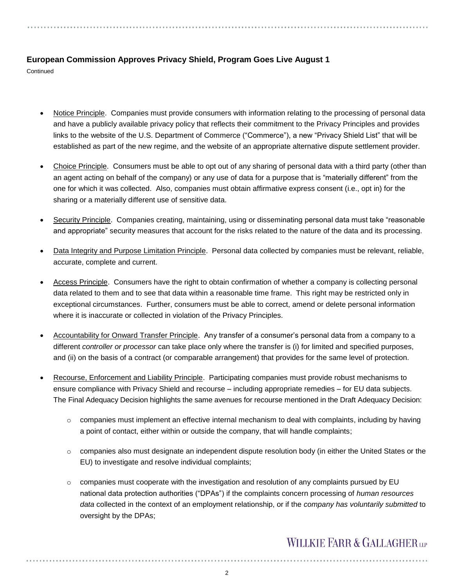**Continued** 

- Notice Principle. Companies must provide consumers with information relating to the processing of personal data and have a publicly available privacy policy that reflects their commitment to the Privacy Principles and provides links to the website of the U.S. Department of Commerce ("Commerce"), a new "Privacy Shield List" that will be established as part of the new regime, and the website of an appropriate alternative dispute settlement provider.
- Choice Principle. Consumers must be able to opt out of any sharing of personal data with a third party (other than an agent acting on behalf of the company) or any use of data for a purpose that is "materially different" from the one for which it was collected. Also, companies must obtain affirmative express consent (i.e., opt in) for the sharing or a materially different use of sensitive data.
- Security Principle. Companies creating, maintaining, using or disseminating personal data must take "reasonable and appropriate" security measures that account for the risks related to the nature of the data and its processing.
- Data Integrity and Purpose Limitation Principle. Personal data collected by companies must be relevant, reliable, accurate, complete and current.
- Access Principle. Consumers have the right to obtain confirmation of whether a company is collecting personal data related to them and to see that data within a reasonable time frame. This right may be restricted only in exceptional circumstances. Further, consumers must be able to correct, amend or delete personal information where it is inaccurate or collected in violation of the Privacy Principles.
- Accountability for Onward Transfer Principle. Any transfer of a consumer's personal data from a company to a different *controller or processor* can take place only where the transfer is (i) for limited and specified purposes, and (ii) on the basis of a contract (or comparable arrangement) that provides for the same level of protection.
- Recourse, Enforcement and Liability Principle. Participating companies must provide robust mechanisms to ensure compliance with Privacy Shield and recourse – including appropriate remedies – for EU data subjects. The Final Adequacy Decision highlights the same avenues for recourse mentioned in the Draft Adequacy Decision:
	- o companies must implement an effective internal mechanism to deal with complaints, including by having a point of contact, either within or outside the company, that will handle complaints;
	- $\circ$  companies also must designate an independent dispute resolution body (in either the United States or the EU) to investigate and resolve individual complaints;
	- $\circ$  companies must cooperate with the investigation and resolution of any complaints pursued by EU national data protection authorities ("DPAs") if the complaints concern processing of *human resources data* collected in the context of an employment relationship, or if the *company has voluntarily submitted* to oversight by the DPAs;

### **WILLKIE FARR & GALLAGHERUP**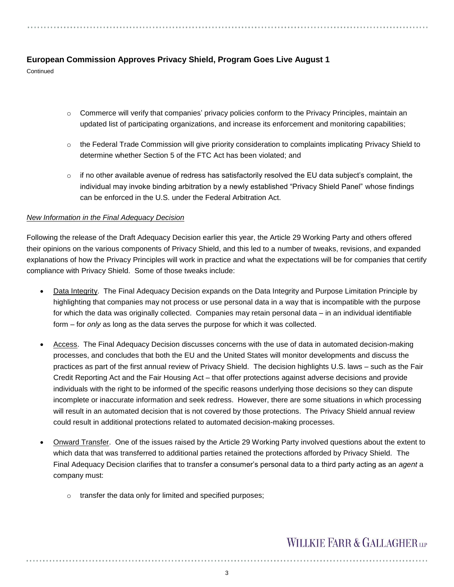**Continued** 

- $\circ$  Commerce will verify that companies' privacy policies conform to the Privacy Principles, maintain an updated list of participating organizations, and increase its enforcement and monitoring capabilities;
- $\circ$  the Federal Trade Commission will give priority consideration to complaints implicating Privacy Shield to determine whether Section 5 of the FTC Act has been violated; and
- $\circ$  if no other available avenue of redress has satisfactorily resolved the EU data subject's complaint, the individual may invoke binding arbitration by a newly established "Privacy Shield Panel" whose findings can be enforced in the U.S. under the Federal Arbitration Act.

#### *New Information in the Final Adequacy Decision*

Following the release of the Draft Adequacy Decision earlier this year, the Article 29 Working Party and others offered their opinions on the various components of Privacy Shield, and this led to a number of tweaks, revisions, and expanded explanations of how the Privacy Principles will work in practice and what the expectations will be for companies that certify compliance with Privacy Shield. Some of those tweaks include:

- Data Integrity. The Final Adequacy Decision expands on the Data Integrity and Purpose Limitation Principle by highlighting that companies may not process or use personal data in a way that is incompatible with the purpose for which the data was originally collected. Companies may retain personal data – in an individual identifiable form – for *only* as long as the data serves the purpose for which it was collected.
- Access. The Final Adequacy Decision discusses concerns with the use of data in automated decision-making processes, and concludes that both the EU and the United States will monitor developments and discuss the practices as part of the first annual review of Privacy Shield. The decision highlights U.S. laws – such as the Fair Credit Reporting Act and the Fair Housing Act – that offer protections against adverse decisions and provide individuals with the right to be informed of the specific reasons underlying those decisions so they can dispute incomplete or inaccurate information and seek redress. However, there are some situations in which processing will result in an automated decision that is not covered by those protections. The Privacy Shield annual review could result in additional protections related to automated decision-making processes.
- Onward Transfer.One of the issues raised by the Article 29 Working Party involved questions about the extent to which data that was transferred to additional parties retained the protections afforded by Privacy Shield. The Final Adequacy Decision clarifies that to transfer a consumer's personal data to a third party acting as an *agent* a company must:
	- o transfer the data only for limited and specified purposes;

### **WILLKIE FARR & GALLAGHERUP**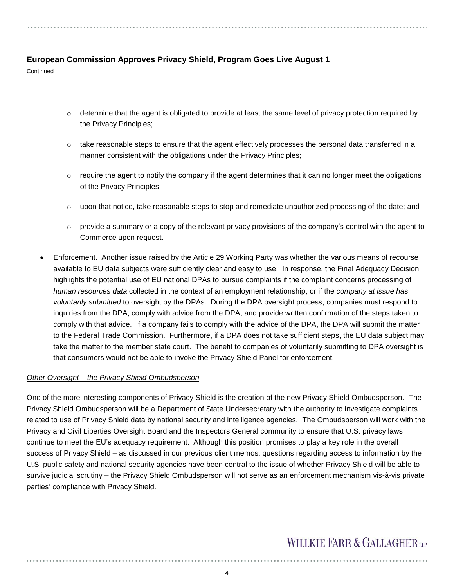**Continued** 

- $\circ$  determine that the agent is obligated to provide at least the same level of privacy protection required by the Privacy Principles;
- $\circ$  take reasonable steps to ensure that the agent effectively processes the personal data transferred in a manner consistent with the obligations under the Privacy Principles;
- $\circ$  require the agent to notify the company if the agent determines that it can no longer meet the obligations of the Privacy Principles;
- $\circ$  upon that notice, take reasonable steps to stop and remediate unauthorized processing of the date; and
- $\circ$  provide a summary or a copy of the relevant privacy provisions of the company's control with the agent to Commerce upon request.
- Enforcement. Another issue raised by the Article 29 Working Party was whether the various means of recourse available to EU data subjects were sufficiently clear and easy to use. In response, the Final Adequacy Decision highlights the potential use of EU national DPAs to pursue complaints if the complaint concerns processing of *human resources data* collected in the context of an employment relationship, or if the *company at issue has voluntarily submitted* to oversight by the DPAs. During the DPA oversight process, companies must respond to inquiries from the DPA, comply with advice from the DPA, and provide written confirmation of the steps taken to comply with that advice. If a company fails to comply with the advice of the DPA, the DPA will submit the matter to the Federal Trade Commission. Furthermore, if a DPA does not take sufficient steps, the EU data subject may take the matter to the member state court. The benefit to companies of voluntarily submitting to DPA oversight is that consumers would not be able to invoke the Privacy Shield Panel for enforcement.

#### *Other Oversight – the Privacy Shield Ombudsperson*

One of the more interesting components of Privacy Shield is the creation of the new Privacy Shield Ombudsperson. The Privacy Shield Ombudsperson will be a Department of State Undersecretary with the authority to investigate complaints related to use of Privacy Shield data by national security and intelligence agencies. The Ombudsperson will work with the Privacy and Civil Liberties Oversight Board and the Inspectors General community to ensure that U.S. privacy laws continue to meet the EU's adequacy requirement. Although this position promises to play a key role in the overall success of Privacy Shield – as discussed in our previous client memos, questions regarding access to information by the U.S. public safety and national security agencies have been central to the issue of whether Privacy Shield will be able to survive judicial scrutiny – the Privacy Shield Ombudsperson will not serve as an enforcement mechanism vis-à-vis private parties' compliance with Privacy Shield.